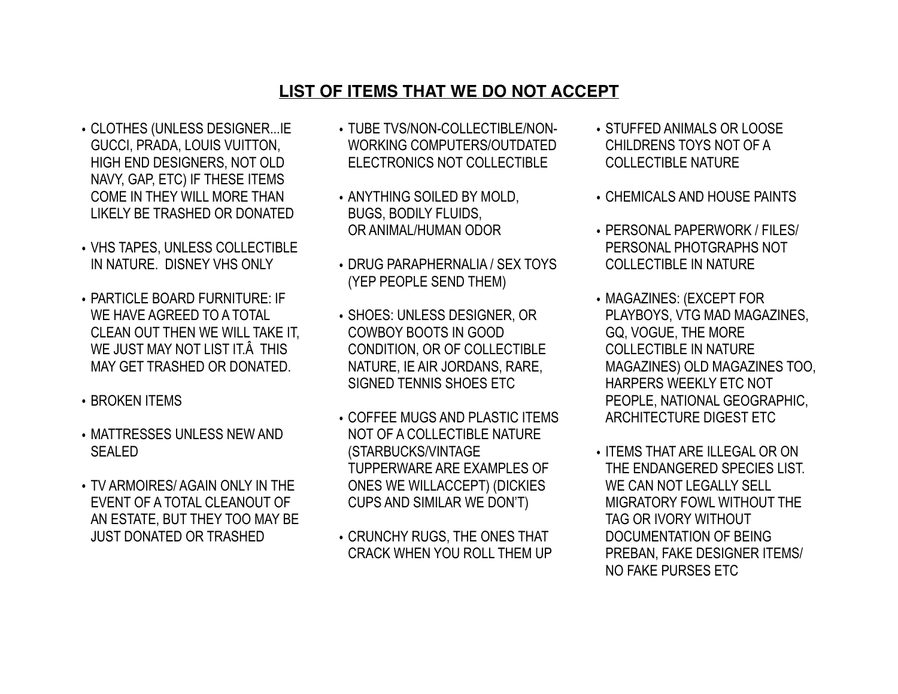## **LIST OF ITEMS THAT WE DO NOT ACCEPT**

- CLOTHES (UNLESS DESIGNER...IE GUCCI, PRADA, LOUIS VUITTON, HIGH END DESIGNERS, NOT OLD NAVY, GAP, ETC) IF THESE ITEMS COME IN THEY WILL MORE THAN LIKELY BE TRASHED OR DONATED
- VHS TAPES, UNLESS COLLECTIBLE IN NATURE. DISNEY VHS ONLY
- PARTICLE BOARD FURNITURE: IF WE HAVE AGREED TO A TOTAL CLEAN OUT THEN WE WILL TAKE IT, WE JUST MAY NOT LIST IT Â THIS MAY GET TRASHED OR DONATED.
- BROKEN ITEMS
- MATTRESSES UNLESS NEW AND SEALED
- TV ARMOIRES/ AGAIN ONLY IN THE EVENT OF A TOTAL CLEANOUT OF AN ESTATE, BUT THEY TOO MAY BE JUST DONATED OR TRASHED
- TUBE TVS/NON-COLLECTIBLE/NON-WORKING COMPUTERS/OUTDATED ELECTRONICS NOT COLLECTIBLE
- ANYTHING SOILED BY MOLD, BUGS, BODILY FLUIDS, OR ANIMAL/HUMAN ODOR
- DRUG PARAPHERNALIA / SEX TOYS (YEP PEOPLE SEND THEM)
- SHOES: UNLESS DESIGNER, OR COWBOY BOOTS IN GOOD CONDITION, OR OF COLLECTIBLE NATURE, IE AIR JORDANS, RARE, SIGNED TENNIS SHOES ETC
- COFFEE MUGS AND PLASTIC ITEMS NOT OF A COLLECTIBLE NATURE (STARBUCKS/VINTAGE TUPPERWARE ARE EXAMPLES OF ONES WE WILLACCEPT) (DICKIES CUPS AND SIMILAR WE DON'T)
- CRUNCHY RUGS, THE ONES THAT CRACK WHEN YOU ROLL THEM UP
- STUFFED ANIMALS OR LOOSE CHILDRENS TOYS NOT OF A COLLECTIBLE NATURE
- CHEMICALS AND HOUSE PAINTS
- PERSONAL PAPERWORK / FILES/ PERSONAL PHOTGRAPHS NOT COLLECTIBLE IN NATURE
- MAGAZINES: (EXCEPT FOR PLAYBOYS, VTG MAD MAGAZINES, GQ, VOGUE, THE MORE COLLECTIBLE IN NATURE MAGAZINES) OLD MAGAZINES TOO, HARPERS WEEKLY ETC NOT PEOPLE, NATIONAL GEOGRAPHIC, ARCHITECTURE DIGEST ETC
- ITEMS THAT ARE ILLEGAL OR ON THE ENDANGERED SPECIES LIST. WE CAN NOT LEGALLY SELL MIGRATORY FOWL WITHOUT THE TAG OR IVORY WITHOUT DOCUMENTATION OF BEING PREBAN, FAKE DESIGNER ITEMS/ NO FAKE PURSES ETC